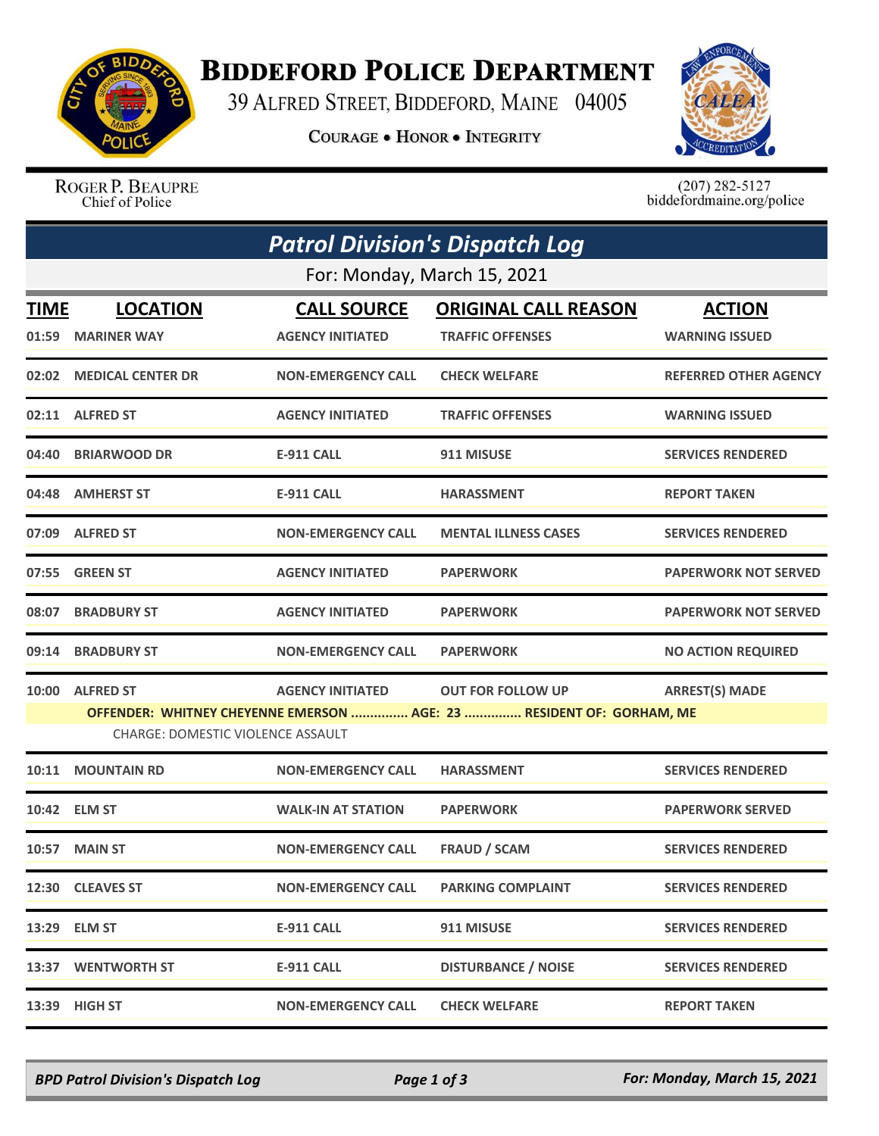

## **BIDDEFORD POLICE DEPARTMENT**

39 ALFRED STREET, BIDDEFORD, MAINE 04005

**COURAGE . HONOR . INTEGRITY** 



ROGER P. BEAUPRE Chief of Police

 $(207)$  282-5127<br>biddefordmaine.org/police

| <b>Patrol Division's Dispatch Log</b> |                                                                                                                  |                           |                             |                              |  |  |
|---------------------------------------|------------------------------------------------------------------------------------------------------------------|---------------------------|-----------------------------|------------------------------|--|--|
| For: Monday, March 15, 2021           |                                                                                                                  |                           |                             |                              |  |  |
| <b>TIME</b>                           | <b>LOCATION</b>                                                                                                  | <b>CALL SOURCE</b>        | <b>ORIGINAL CALL REASON</b> | <b>ACTION</b>                |  |  |
| 01:59                                 | <b>MARINER WAY</b>                                                                                               | <b>AGENCY INITIATED</b>   | <b>TRAFFIC OFFENSES</b>     | <b>WARNING ISSUED</b>        |  |  |
|                                       | 02:02 MEDICAL CENTER DR                                                                                          | <b>NON-EMERGENCY CALL</b> | <b>CHECK WELFARE</b>        | <b>REFERRED OTHER AGENCY</b> |  |  |
|                                       | 02:11 ALFRED ST                                                                                                  | <b>AGENCY INITIATED</b>   | <b>TRAFFIC OFFENSES</b>     | <b>WARNING ISSUED</b>        |  |  |
| 04:40                                 | <b>BRIARWOOD DR</b>                                                                                              | <b>E-911 CALL</b>         | 911 MISUSE                  | <b>SERVICES RENDERED</b>     |  |  |
| 04:48                                 | <b>AMHERST ST</b>                                                                                                | <b>E-911 CALL</b>         | <b>HARASSMENT</b>           | <b>REPORT TAKEN</b>          |  |  |
|                                       | 07:09 ALFRED ST                                                                                                  | <b>NON-EMERGENCY CALL</b> | <b>MENTAL ILLNESS CASES</b> | <b>SERVICES RENDERED</b>     |  |  |
| 07:55                                 | <b>GREEN ST</b>                                                                                                  | <b>AGENCY INITIATED</b>   | <b>PAPERWORK</b>            | <b>PAPERWORK NOT SERVED</b>  |  |  |
| 08:07                                 | <b>BRADBURY ST</b>                                                                                               | <b>AGENCY INITIATED</b>   | <b>PAPERWORK</b>            | <b>PAPERWORK NOT SERVED</b>  |  |  |
| 09:14                                 | <b>BRADBURY ST</b>                                                                                               | <b>NON-EMERGENCY CALL</b> | <b>PAPERWORK</b>            | <b>NO ACTION REQUIRED</b>    |  |  |
| 10:00                                 | <b>ALFRED ST</b>                                                                                                 | <b>AGENCY INITIATED</b>   | <b>OUT FOR FOLLOW UP</b>    | <b>ARREST(S) MADE</b>        |  |  |
|                                       | OFFENDER: WHITNEY CHEYENNE EMERSON  AGE: 23  RESIDENT OF: GORHAM, ME<br><b>CHARGE: DOMESTIC VIOLENCE ASSAULT</b> |                           |                             |                              |  |  |
|                                       |                                                                                                                  |                           |                             |                              |  |  |
| 10:11                                 | <b>MOUNTAIN RD</b>                                                                                               | <b>NON-EMERGENCY CALL</b> | <b>HARASSMENT</b>           | <b>SERVICES RENDERED</b>     |  |  |
|                                       | 10:42 ELM ST                                                                                                     | <b>WALK-IN AT STATION</b> | <b>PAPERWORK</b>            | <b>PAPERWORK SERVED</b>      |  |  |
|                                       | 10:57 MAIN ST                                                                                                    | <b>NON-EMERGENCY CALL</b> | <b>FRAUD / SCAM</b>         | <b>SERVICES RENDERED</b>     |  |  |
|                                       | 12:30 CLEAVES ST                                                                                                 | <b>NON-EMERGENCY CALL</b> | <b>PARKING COMPLAINT</b>    | <b>SERVICES RENDERED</b>     |  |  |
|                                       | 13:29 ELM ST                                                                                                     | <b>E-911 CALL</b>         | 911 MISUSE                  | <b>SERVICES RENDERED</b>     |  |  |
| 13:37                                 | <b>WENTWORTH ST</b>                                                                                              | <b>E-911 CALL</b>         | <b>DISTURBANCE / NOISE</b>  | <b>SERVICES RENDERED</b>     |  |  |
|                                       | 13:39 HIGH ST                                                                                                    | <b>NON-EMERGENCY CALL</b> | <b>CHECK WELFARE</b>        | <b>REPORT TAKEN</b>          |  |  |

*BPD Patrol Division's Dispatch Log Page 1 of 3 For: Monday, March 15, 2021*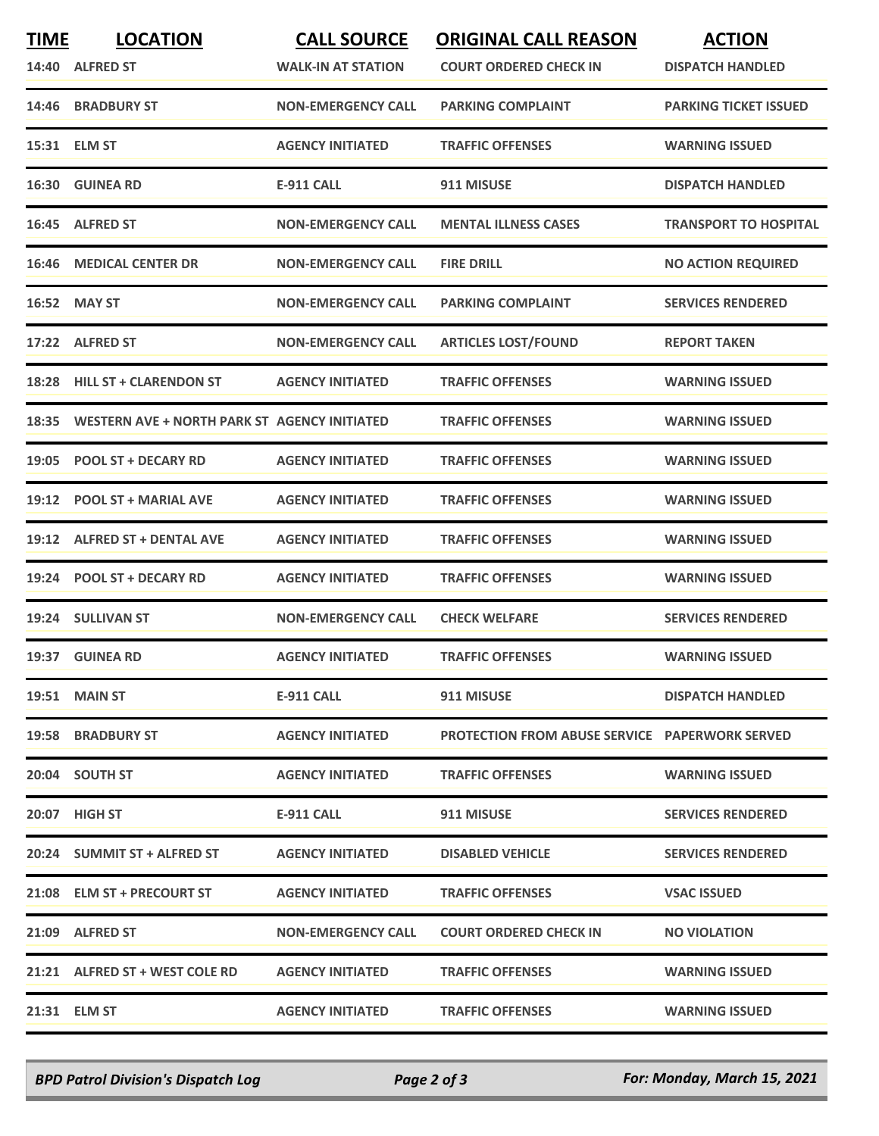| <b>TIME</b> | <b>LOCATION</b>                                    | <b>CALL SOURCE</b>        | <b>ORIGINAL CALL REASON</b>                           | <b>ACTION</b>                |
|-------------|----------------------------------------------------|---------------------------|-------------------------------------------------------|------------------------------|
|             | 14:40 ALFRED ST                                    | <b>WALK-IN AT STATION</b> | <b>COURT ORDERED CHECK IN</b>                         | <b>DISPATCH HANDLED</b>      |
|             | 14:46 BRADBURY ST                                  | <b>NON-EMERGENCY CALL</b> | <b>PARKING COMPLAINT</b>                              | <b>PARKING TICKET ISSUED</b> |
|             | 15:31 ELM ST                                       | <b>AGENCY INITIATED</b>   | <b>TRAFFIC OFFENSES</b>                               | <b>WARNING ISSUED</b>        |
|             | 16:30 GUINEA RD                                    | E-911 CALL                | 911 MISUSE                                            | <b>DISPATCH HANDLED</b>      |
|             | 16:45 ALFRED ST                                    | <b>NON-EMERGENCY CALL</b> | <b>MENTAL ILLNESS CASES</b>                           | <b>TRANSPORT TO HOSPITAL</b> |
|             | <b>16:46 MEDICAL CENTER DR</b>                     | <b>NON-EMERGENCY CALL</b> | <b>FIRE DRILL</b>                                     | <b>NO ACTION REQUIRED</b>    |
|             | 16:52 MAY ST                                       | <b>NON-EMERGENCY CALL</b> | <b>PARKING COMPLAINT</b>                              | <b>SERVICES RENDERED</b>     |
|             | 17:22 ALFRED ST                                    | <b>NON-EMERGENCY CALL</b> | <b>ARTICLES LOST/FOUND</b>                            | <b>REPORT TAKEN</b>          |
|             | 18:28 HILL ST + CLARENDON ST                       | <b>AGENCY INITIATED</b>   | <b>TRAFFIC OFFENSES</b>                               | <b>WARNING ISSUED</b>        |
|             | 18:35 WESTERN AVE + NORTH PARK ST AGENCY INITIATED |                           | <b>TRAFFIC OFFENSES</b>                               | <b>WARNING ISSUED</b>        |
|             | 19:05 POOL ST + DECARY RD                          | <b>AGENCY INITIATED</b>   | <b>TRAFFIC OFFENSES</b>                               | <b>WARNING ISSUED</b>        |
|             | 19:12 POOL ST + MARIAL AVE                         | <b>AGENCY INITIATED</b>   | <b>TRAFFIC OFFENSES</b>                               | <b>WARNING ISSUED</b>        |
|             | 19:12 ALFRED ST + DENTAL AVE                       | <b>AGENCY INITIATED</b>   | <b>TRAFFIC OFFENSES</b>                               | <b>WARNING ISSUED</b>        |
|             | 19:24 POOL ST + DECARY RD                          | <b>AGENCY INITIATED</b>   | <b>TRAFFIC OFFENSES</b>                               | <b>WARNING ISSUED</b>        |
|             | 19:24 SULLIVAN ST                                  | <b>NON-EMERGENCY CALL</b> | <b>CHECK WELFARE</b>                                  | <b>SERVICES RENDERED</b>     |
|             | 19:37 GUINEA RD                                    | <b>AGENCY INITIATED</b>   | <b>TRAFFIC OFFENSES</b>                               | <b>WARNING ISSUED</b>        |
|             | 19:51 MAIN ST                                      | E-911 CALL                | 911 MISUSE                                            | <b>DISPATCH HANDLED</b>      |
|             | <b>19:58 BRADBURY ST</b>                           | <b>AGENCY INITIATED</b>   | <b>PROTECTION FROM ABUSE SERVICE PAPERWORK SERVED</b> |                              |
|             | 20:04 SOUTH ST                                     | <b>AGENCY INITIATED</b>   | <b>TRAFFIC OFFENSES</b>                               | <b>WARNING ISSUED</b>        |
|             | 20:07 HIGH ST                                      | E-911 CALL                | 911 MISUSE                                            | <b>SERVICES RENDERED</b>     |
|             | 20:24 SUMMIT ST + ALFRED ST                        | <b>AGENCY INITIATED</b>   | <b>DISABLED VEHICLE</b>                               | <b>SERVICES RENDERED</b>     |
|             | 21:08 ELM ST + PRECOURT ST                         | <b>AGENCY INITIATED</b>   | <b>TRAFFIC OFFENSES</b>                               | <b>VSAC ISSUED</b>           |
|             | 21:09 ALFRED ST                                    | <b>NON-EMERGENCY CALL</b> | <b>COURT ORDERED CHECK IN</b>                         | <b>NO VIOLATION</b>          |
|             | 21:21 ALFRED ST + WEST COLE RD                     | <b>AGENCY INITIATED</b>   | <b>TRAFFIC OFFENSES</b>                               | <b>WARNING ISSUED</b>        |
|             | 21:31 ELM ST                                       | <b>AGENCY INITIATED</b>   | <b>TRAFFIC OFFENSES</b>                               | <b>WARNING ISSUED</b>        |

*BPD Patrol Division's Dispatch Log Page 2 of 3 For: Monday, March 15, 2021*